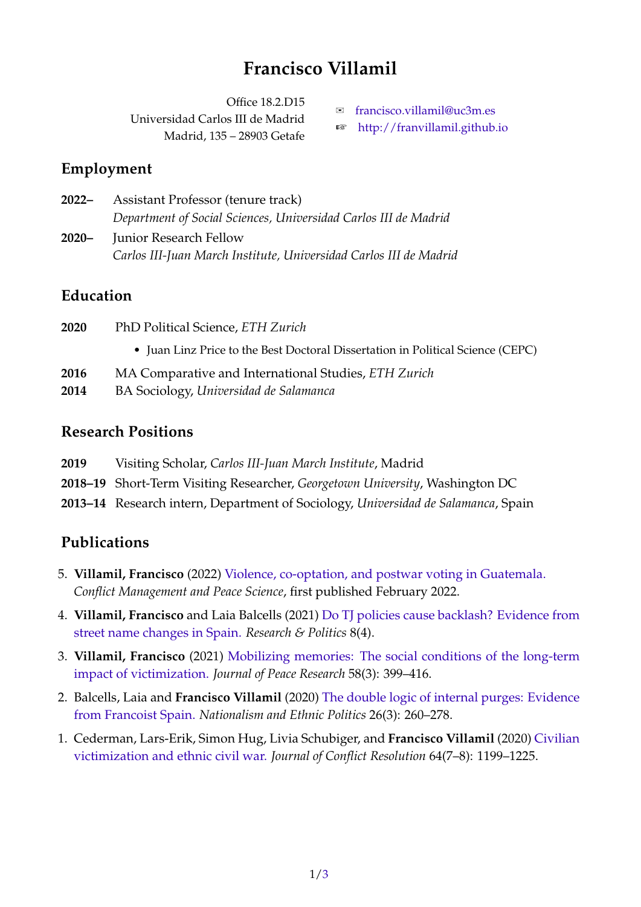# **Francisco Villamil**

Office 18.2.D15 Universidad Carlos III de Madrid Madrid, 135 – 28903 Getafe

✉ [francisco.villamil@uc3m.es](mailto:francisco.villamil@uc3m.es)

☞ <http://franvillamil.github.io>

## **Employment**

| 2022–    | <b>Assistant Professor (tenure track)</b>                         |
|----------|-------------------------------------------------------------------|
|          | Department of Social Sciences, Universidad Carlos III de Madrid   |
| $2020 -$ | <b>Junior Research Fellow</b>                                     |
|          | Carlos III-Juan March Institute, Universidad Carlos III de Madrid |

### **Education**

| 2020 | PhD Political Science, ETH Zurich                                               |
|------|---------------------------------------------------------------------------------|
|      | • Juan Linz Price to the Best Doctoral Dissertation in Political Science (CEPC) |
| 2016 | MA Comparative and International Studies, ETH Zurich                            |
| 2014 | BA Sociology, Universidad de Salamanca                                          |
|      |                                                                                 |

### **Research Positions**

- **2019** Visiting Scholar, *Carlos III-Juan March Institute*, Madrid
- **2018–19** Short-Term Visiting Researcher, *Georgetown University*, Washington DC
- **2013–14** Research intern, Department of Sociology, *Universidad de Salamanca*, Spain

### **Publications**

- 5. **Villamil, Francisco** (2022) [Violence, co-optation, and postwar voting in Guatemala.](https://journals.sagepub.com/doi/full/10.1177/07388942211066539) *Conflict Management and Peace Science*, first published February 2022.
- 4. **Villamil, Francisco** and Laia Balcells (2021) [Do TJ policies cause backlash? Evidence from](https://journals.sagepub.com/doi/full/10.1177/20531680211058550) [street name changes in Spain.](https://journals.sagepub.com/doi/full/10.1177/20531680211058550) *Research & Politics* 8(4).
- 3. **Villamil, Francisco** (2021) [Mobilizing memories: The social conditions of the long-term](https://doi.org/10.1177/0022343320912816) [impact of victimization.](https://doi.org/10.1177/0022343320912816) *Journal of Peace Research* 58(3): 399–416.
- 2. Balcells, Laia and **Francisco Villamil** (2020) [The double logic of internal purges: Evidence](https://doi.org/10.1080/13537113.2020.1795451) [from Francoist Spain.](https://doi.org/10.1080/13537113.2020.1795451) *Nationalism and Ethnic Politics* 26(3): 260–278.
- 1. Cederman, Lars-Erik, Simon Hug, Livia Schubiger, and **Francisco Villamil** (2020) [Civilian](https://doi.org/10.1177/0022002719898873) [victimization and ethnic civil war.](https://doi.org/10.1177/0022002719898873) *Journal of Conflict Resolution* 64(7–8): 1199–1225.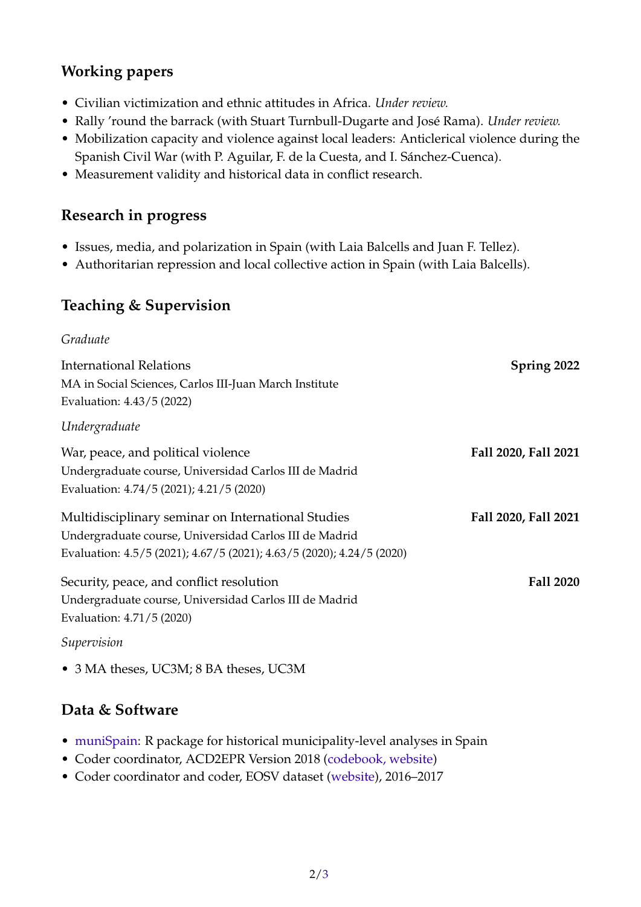## **Working papers**

- Civilian victimization and ethnic attitudes in Africa. *Under review.*
- Rally 'round the barrack (with Stuart Turnbull-Dugarte and José Rama). *Under review.*
- Mobilization capacity and violence against local leaders: Anticlerical violence during the Spanish Civil War (with P. Aguilar, F. de la Cuesta, and I. Sánchez-Cuenca).
- Measurement validity and historical data in conflict research.

### **Research in progress**

- Issues, media, and polarization in Spain (with Laia Balcells and Juan F. Tellez).
- Authoritarian repression and local collective action in Spain (with Laia Balcells).

## **Teaching & Supervision**

#### *Graduate*

| <b>International Relations</b><br>MA in Social Sciences, Carlos III-Juan March Institute<br>Evaluation: 4.43/5 (2022)                                                                 | Spring 2022          |
|---------------------------------------------------------------------------------------------------------------------------------------------------------------------------------------|----------------------|
| Undergraduate                                                                                                                                                                         |                      |
| War, peace, and political violence<br>Undergraduate course, Universidad Carlos III de Madrid<br>Evaluation: 4.74/5 (2021); 4.21/5 (2020)                                              | Fall 2020, Fall 2021 |
| Multidisciplinary seminar on International Studies<br>Undergraduate course, Universidad Carlos III de Madrid<br>Evaluation: 4.5/5 (2021); 4.67/5 (2021); 4.63/5 (2020); 4.24/5 (2020) | Fall 2020, Fall 2021 |
| Security, peace, and conflict resolution<br>Undergraduate course, Universidad Carlos III de Madrid<br>Evaluation: 4.71/5 (2020)                                                       | <b>Fall 2020</b>     |
| Supervision                                                                                                                                                                           |                      |
| • 3 MA theses, UC3M; 8 BA theses, UC3M                                                                                                                                                |                      |

### **Data & Software**

- [muniSpain:](https://github.com/franvillamil/muniSpain) R package for historical municipality-level analyses in Spain
- Coder coordinator, ACD2EPR Version 2018 [\(codebook,](https://icr.ethz.ch/data/epr/acd2epr/ACD2EPR-2018_Codebook.pdf) [website\)](https://icr.ethz.ch/data/epr/acd2epr/)
- Coder coordinator and coder, EOSV dataset [\(website\)](https://snis.ch/project/civilian-victimization-conflict-escalation/), 2016–2017